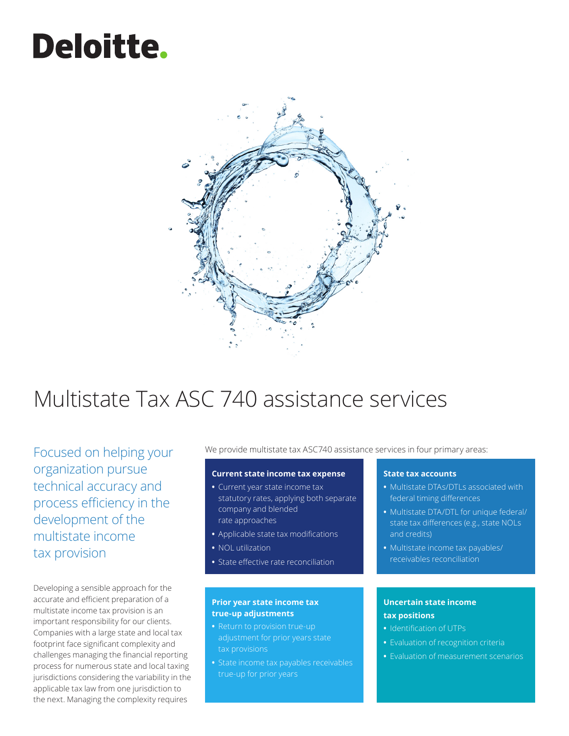# **Deloitte.**



# Multistate Tax ASC 740 assistance services

Focused on helping your organization pursue technical accuracy and process efficiency in the development of the multistate income tax provision

Developing a sensible approach for the accurate and efficient preparation of a multistate income tax provision is an important responsibility for our clients. Companies with a large state and local tax footprint face significant complexity and challenges managing the financial reporting process for numerous state and local taxing jurisdictions considering the variability in the applicable tax law from one jurisdiction to the next. Managing the complexity requires

We provide multistate tax ASC740 assistance services in four primary areas:

# **Current state income tax expense**

- **•** Current year state income tax statutory rates, applying both separate company and blended rate approaches
- **•** Applicable state tax modifications
- **•** NOL utilization
- **•** State effective rate reconciliation

### **Prior year state income tax true-up adjustments**

- **•** Return to provision true-up adjustment for prior years state tax provisions
- **•** State income tax payables receivables

# **State tax accounts**

- **•** Multistate DTAs/DTLs associated with federal timing differences
- **•** Multistate DTA/DTL for unique federal/ state tax differences (e.g., state NOLs and credits)
- **•** Multistate income tax payables/ receivables reconciliation

# **Uncertain state income tax positions**

- **•** Identification of UTPs
- **•** Evaluation of recognition criteria
- **•** Evaluation of measurement scenarios